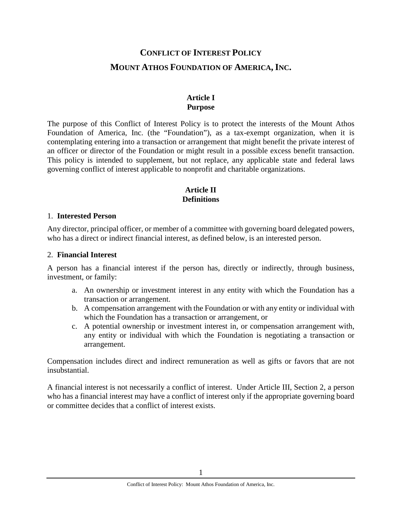# **CONFLICT OF INTEREST POLICY MOUNT ATHOS FOUNDATION OF AMERICA,INC.**

## **Article I Purpose**

The purpose of this Conflict of Interest Policy is to protect the interests of the Mount Athos Foundation of America, Inc. (the "Foundation"), as a tax-exempt organization, when it is contemplating entering into a transaction or arrangement that might benefit the private interest of an officer or director of the Foundation or might result in a possible excess benefit transaction. This policy is intended to supplement, but not replace, any applicable state and federal laws governing conflict of interest applicable to nonprofit and charitable organizations.

## **Article II Definitions**

#### 1. **Interested Person**

Any director, principal officer, or member of a committee with governing board delegated powers, who has a direct or indirect financial interest, as defined below, is an interested person.

#### 2. **Financial Interest**

A person has a financial interest if the person has, directly or indirectly, through business, investment, or family:

- a. An ownership or investment interest in any entity with which the Foundation has a transaction or arrangement.
- b. A compensation arrangement with the Foundation or with any entity or individual with which the Foundation has a transaction or arrangement, or
- c. A potential ownership or investment interest in, or compensation arrangement with, any entity or individual with which the Foundation is negotiating a transaction or arrangement.

Compensation includes direct and indirect remuneration as well as gifts or favors that are not insubstantial.

A financial interest is not necessarily a conflict of interest. Under Article III, Section 2, a person who has a financial interest may have a conflict of interest only if the appropriate governing board or committee decides that a conflict of interest exists.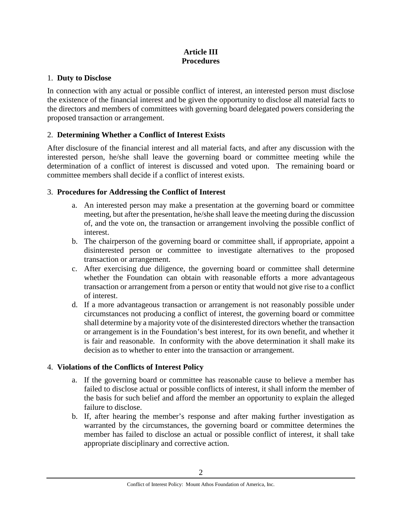## **Article III Procedures**

## 1. **Duty to Disclose**

In connection with any actual or possible conflict of interest, an interested person must disclose the existence of the financial interest and be given the opportunity to disclose all material facts to the directors and members of committees with governing board delegated powers considering the proposed transaction or arrangement.

## 2. **Determining Whether a Conflict of Interest Exists**

After disclosure of the financial interest and all material facts, and after any discussion with the interested person, he/she shall leave the governing board or committee meeting while the determination of a conflict of interest is discussed and voted upon. The remaining board or committee members shall decide if a conflict of interest exists.

## 3. **Procedures for Addressing the Conflict of Interest**

- a. An interested person may make a presentation at the governing board or committee meeting, but after the presentation, he/she shall leave the meeting during the discussion of, and the vote on, the transaction or arrangement involving the possible conflict of interest.
- b. The chairperson of the governing board or committee shall, if appropriate, appoint a disinterested person or committee to investigate alternatives to the proposed transaction or arrangement.
- c. After exercising due diligence, the governing board or committee shall determine whether the Foundation can obtain with reasonable efforts a more advantageous transaction or arrangement from a person or entity that would not give rise to a conflict of interest.
- d. If a more advantageous transaction or arrangement is not reasonably possible under circumstances not producing a conflict of interest, the governing board or committee shall determine by a majority vote of the disinterested directors whether the transaction or arrangement is in the Foundation's best interest, for its own benefit, and whether it is fair and reasonable. In conformity with the above determination it shall make its decision as to whether to enter into the transaction or arrangement.

## 4. **Violations of the Conflicts of Interest Policy**

- a. If the governing board or committee has reasonable cause to believe a member has failed to disclose actual or possible conflicts of interest, it shall inform the member of the basis for such belief and afford the member an opportunity to explain the alleged failure to disclose.
- b. If, after hearing the member's response and after making further investigation as warranted by the circumstances, the governing board or committee determines the member has failed to disclose an actual or possible conflict of interest, it shall take appropriate disciplinary and corrective action.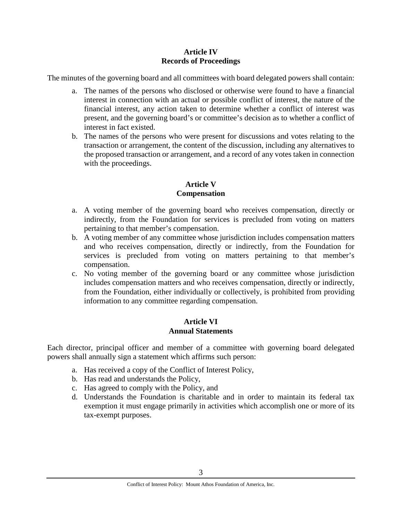### **Article IV Records of Proceedings**

The minutes of the governing board and all committees with board delegated powers shall contain:

- a. The names of the persons who disclosed or otherwise were found to have a financial interest in connection with an actual or possible conflict of interest, the nature of the financial interest, any action taken to determine whether a conflict of interest was present, and the governing board's or committee's decision as to whether a conflict of interest in fact existed.
- b. The names of the persons who were present for discussions and votes relating to the transaction or arrangement, the content of the discussion, including any alternatives to the proposed transaction or arrangement, and a record of any votes taken in connection with the proceedings.

### **Article V Compensation**

- a. A voting member of the governing board who receives compensation, directly or indirectly, from the Foundation for services is precluded from voting on matters pertaining to that member's compensation.
- b. A voting member of any committee whose jurisdiction includes compensation matters and who receives compensation, directly or indirectly, from the Foundation for services is precluded from voting on matters pertaining to that member's compensation.
- c. No voting member of the governing board or any committee whose jurisdiction includes compensation matters and who receives compensation, directly or indirectly, from the Foundation, either individually or collectively, is prohibited from providing information to any committee regarding compensation.

#### **Article VI Annual Statements**

Each director, principal officer and member of a committee with governing board delegated powers shall annually sign a statement which affirms such person:

- a. Has received a copy of the Conflict of Interest Policy,
- b. Has read and understands the Policy,
- c. Has agreed to comply with the Policy, and
- d. Understands the Foundation is charitable and in order to maintain its federal tax exemption it must engage primarily in activities which accomplish one or more of its tax-exempt purposes.